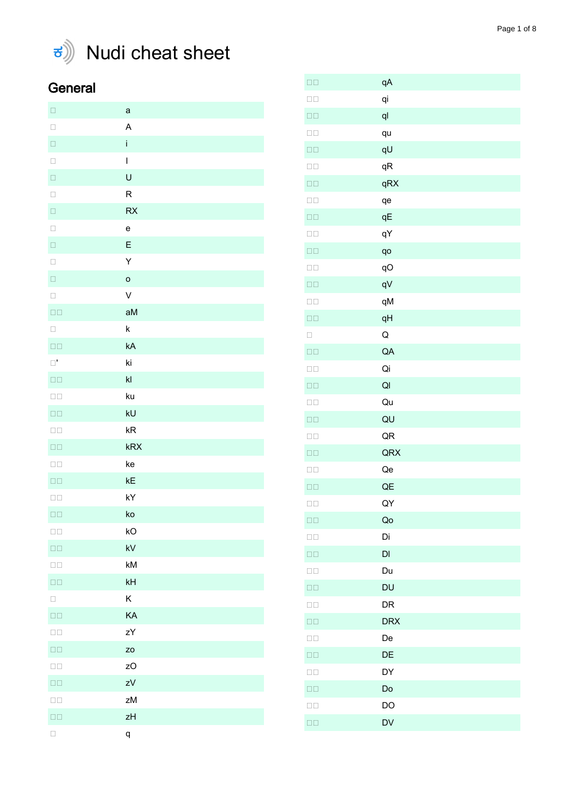

## $\vec{s}$  Nudi cheat sheet

## General

| $\Box$                 | $\mathsf a$    |
|------------------------|----------------|
| $\Box$                 | A              |
| $\Box$                 | j.             |
| $\Box$                 | $\overline{1}$ |
| $\Box$                 | $\cup$         |
| $\Box$                 | ${\sf R}$      |
| $\Box$                 | RX             |
| $\Box$                 | $\mathbf e$    |
| $\Box$                 | E              |
| $\Box$                 | Y              |
| $\Box$                 | $\circ$        |
| $\Box$                 | $\checkmark$   |
| $\square$<br>$\square$ | aM             |
| $\Box$                 | $\sf k$        |
| $\square$<br>$\square$ | kA             |
| $\Box^{\bullet}$       | ki             |
| $\square$<br>$\square$ | $\mathsf{kl}$  |
| $\square$<br>$\square$ | ku             |
| $\square$<br>$\square$ | kU             |
| $\square$<br>$\square$ | kR             |
| $\square$<br>$\square$ | kRX            |
| $\square$<br>$\square$ | ke             |
| $\square$<br>$\square$ | kE             |
| $\square$<br>$\square$ | kY             |
| $\square$<br>$\square$ | ko             |
| $\square$<br>$\square$ | kO             |
| $\square$<br>$\square$ | kV             |
| $\square \, \square$   | kM             |
| $\square$<br>$\square$ | kH             |
| $\Box$                 | Κ              |
| $\square$<br>$\square$ | KA             |
| $\square$<br>$\square$ | zY             |
| $\square$<br>$\square$ | zo             |
| $\square$<br>$\square$ | zO             |
| $\square$<br>$\square$ | ZV             |
| $\square$<br>$\square$ | zM             |
| $\square$<br>$\square$ | zH             |
|                        | q              |

| $\square$<br>$\square$ | qA                     |
|------------------------|------------------------|
| $\square$<br>$\square$ | qi                     |
| $\square$ $\square$    | q <sub>l</sub>         |
| $\square$<br>$\square$ | qu                     |
| $\square$ $\square$    | qU                     |
| $\square$ $\square$    | qR                     |
| $\square$ $\square$    | qRX                    |
| $\square$<br>$\square$ | qe                     |
| $\square$<br>$\square$ | qE                     |
| $\square$<br>$\square$ | qY                     |
| $\square$ $\square$    | qo                     |
| $\square$<br>$\square$ | qO                     |
| $\square$<br>$\square$ | qV                     |
| $\square$<br>$\square$ | qM                     |
| $\square$<br>$\square$ | qH                     |
| $\Box$                 | Q                      |
| $\square$<br>$\square$ | QA                     |
| $\square$<br>$\square$ | Qi                     |
| $\square$ $\square$    | Q <sub>l</sub>         |
| $\square$<br>$\square$ | Qu                     |
| $\square$<br>$\square$ | QU                     |
| $\square$<br>$\square$ | QR                     |
| $\square$<br>$\square$ | QRX                    |
| $\square$ $\square$    | Qe                     |
| $\square$<br>$\square$ | QE                     |
| $\square$<br>$\square$ | QY                     |
| $\square$<br>$\square$ | Qo                     |
| $\square$<br>$\square$ | Di                     |
| $\square$<br>$\square$ | $\mathsf{D}\mathsf{I}$ |
| $\square$<br>$\square$ | Du                     |
| $\square$<br>$\square$ | DU                     |
| $\square$<br>$\square$ | DR                     |
| $\square$<br>$\square$ | <b>DRX</b>             |
| $\square$<br>$\square$ | De                     |
| $\square$<br>$\square$ | DE                     |
| $\square$<br>$\square$ | DY                     |
| $\square$<br>$\square$ | Do                     |
| $\square$<br>$\square$ | DO                     |
| $\square$<br>$\square$ | DV                     |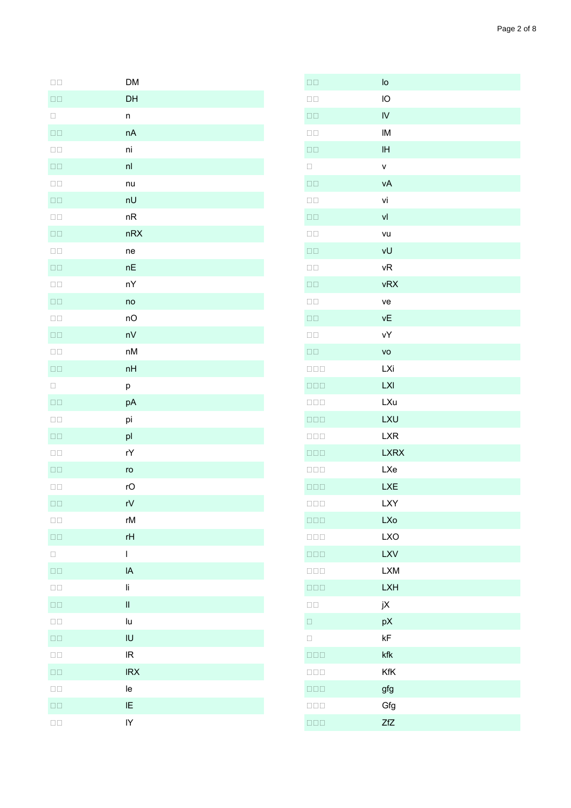| $\square$<br>$\square$ | <b>DM</b>     |
|------------------------|---------------|
| $\square$ $\square$    | DH            |
| $\Box$                 | n             |
| $\square$ $\square$    | nA            |
| $\square$<br>$\square$ | ni            |
| $\square$<br>$\square$ | nl            |
| $\square$ $\square$    | nu            |
| $\square$<br>$\square$ | nU            |
| $\square$<br>$\square$ | nR            |
| $\square$<br>$\square$ | nRX           |
| $\square$<br>$\square$ | ne            |
| $\square$<br>$\square$ | nE            |
| $\square$<br>$\square$ | nY            |
| $\square$<br>$\square$ | no            |
| $\square$<br>$\square$ | nO            |
| $\square$ $\square$    | nV            |
| $\square$<br>$\square$ | nM            |
| $\square$ $\square$    | nH            |
| $\Box$                 | p             |
| $\square$ $\square$    | pA            |
| $\square$<br>$\square$ | pi            |
| $\square$ $\square$    | pl            |
| $\square$<br>$\square$ | rY            |
| $\square$<br>$\square$ | ro            |
| $\square$<br>$\square$ | rO            |
| $\square$<br>$\square$ | rV            |
| $\square$<br>$\square$ | rM            |
| $\square$ $\square$    | rH            |
| $\Box$                 | $\mathsf{I}$  |
| $\square$ $\square$    | IA            |
| $\square$<br>$\square$ | li            |
| $\square$<br>$\square$ | $\mathbf{II}$ |
| $\square$<br>$\square$ | lu            |
| $\square$<br>$\square$ | IU            |
| $\square$<br>$\square$ | IR            |
| $\square$<br>$\square$ | <b>IRX</b>    |
| $\square$<br>$\square$ | le            |
| $\square$<br>$\square$ | IE            |
| $\square$<br>$\square$ | IY            |

| $\square$<br>$\square$          | $I_{\text{O}}$ |
|---------------------------------|----------------|
| $\square$<br>$\square$          | IO             |
| $\square$<br>$\square$          | $\overline{N}$ |
| $\square$<br>$\square$          | IM             |
| $\square$<br>$\square$          | IH             |
| $\Box$                          | $\mathsf{V}$   |
| $\square$<br>$\square$          | vA             |
| $\square$<br>$\square$          | vi             |
| $\square$<br>$\square$          | V              |
| $\square$<br>$\square$          | vu             |
| $\square$<br>$\square$          | vU             |
| $\square$<br>$\square$          | νR             |
| $\square$<br>$\square$          | vRX            |
| $\square$<br>$\square$          | ve             |
| $\square$<br>$\square$          | νE             |
| $\square$<br>$\square$          | vΥ             |
| $\square$<br>$\square$          | VO             |
| $\square \, \square \, \square$ | LXi            |
| $\square \, \square \, \square$ | <b>LXI</b>     |
| $\square \, \square \, \square$ | <b>LXu</b>     |
| $\square \square \square$       | <b>LXU</b>     |
| $\square \, \square \, \square$ | <b>LXR</b>     |
| $\square \square \square$       | <b>LXRX</b>    |
| $\square$<br>$\square$          | <b>LXe</b>     |
| $\square \, \square \, \square$ | <b>LXE</b>     |
| $\square \, \square \, \square$ | LXY            |
| $\square \, \square \, \square$ | <b>LXo</b>     |
| $\square \, \square \, \square$ | <b>LXO</b>     |
| $\square \square \square$       | <b>LXV</b>     |
| $\square \, \square \, \square$ | <b>LXM</b>     |
| $\square \square \square$       | <b>LXH</b>     |
| $\square$<br>$\square$          | jX             |
| $\Box$                          | рX             |
| $\Box$                          | kF             |
| $\square \, \square \, \square$ | kfk            |
| $\square \, \square \, \square$ | KfK            |
| $\square \, \square \, \square$ | gfg            |
| $\square$<br>$\square$          | Gfg            |
| $\square \, \square \, \square$ | <b>ZfZ</b>     |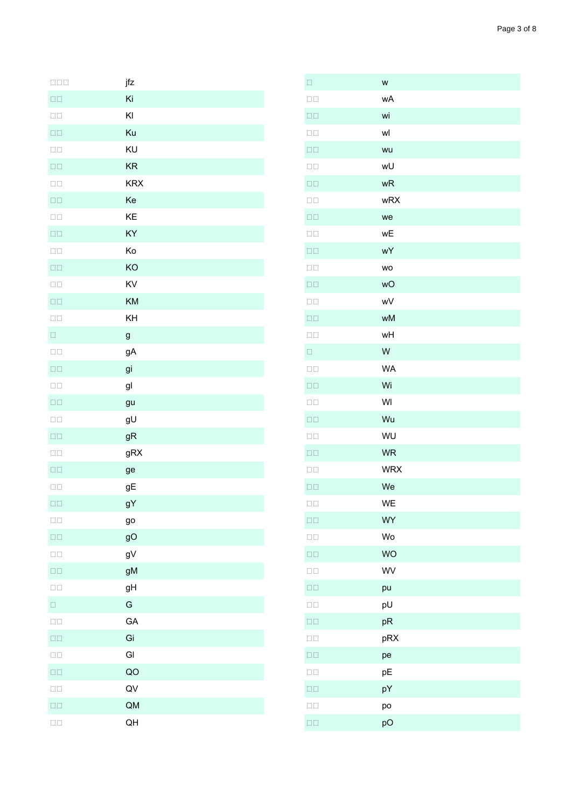| $\square \, \square \, \square$ | jfz        |
|---------------------------------|------------|
| $\square$<br>$\square$          | Ki         |
| $\square$<br>$\square$          | KI         |
| $\square$<br>$\square$          | Ku         |
| $\square$<br>$\square$          | KU         |
| $\square$<br>$\square$          | <b>KR</b>  |
| $\square$<br>$\square$          | <b>KRX</b> |
| $\square$<br>$\square$          | Ke         |
| $\square$<br>$\square$          | KE         |
| $\square$<br>$\square$          | KY         |
| $\square$<br>$\square$          | Ko         |
| $\square$<br>$\square$          | KO         |
| $\square$<br>$\square$          | KV         |
| $\square$<br>$\square$          | KM         |
| $\square$<br>$\square$          | KH         |
| $\Box$                          | g          |
| $\square$<br>$\square$          | gA         |
| $\square$<br>$\square$          | gi         |
| $\square$<br>$\square$          | gl         |
| $\square$<br>$\square$          | gu         |
| $\square$<br>$\square$          | gU         |
| $\square$<br>$\square$          | gR         |
| $\square$<br>$\square$          | gRX        |
| $\square$<br>$\square$          | ge         |
| $\square$<br>$\square$          | gE         |
| $\square$ $\square$             | gY         |
| $\square$<br>$\square$          | go         |
| $\square$<br>$\square$          | gO         |
| $\square$<br>$\square$          | gV         |
| $\square$<br>$\square$          | gM         |
| $\square$<br>$\square$          | gH         |
| $\Box$                          | G          |
| $\square$<br>$\square$          | GA         |
| $\square$<br>$\square$          | Gi         |
| $\square$<br>$\square$          | GI         |
| $\square$<br>$\square$          | QO         |
| $\square$<br>$\square$          | QV         |
| $\square$<br>$\square$          | QM         |
| $\square$<br>$\square$          | QH         |

| $\Box$                 | W          |
|------------------------|------------|
| $\square$<br>$\square$ | wA         |
| $\square$<br>$\square$ | wi         |
| $\square$<br>$\square$ | wl         |
| $\square$<br>$\square$ | wu         |
| $\square$<br>$\square$ | wU         |
| $\square$<br>$\square$ | wR         |
| $\square$<br>$\square$ | wRX        |
| $\square$<br>$\square$ | we         |
| $\square$<br>$\square$ | wE         |
| $\square$<br>$\square$ | wY         |
| $\square$<br>$\square$ | WO         |
| $\square$<br>$\square$ | wO         |
| $\square$<br>$\square$ | wV         |
| $\square$<br>$\square$ | wM         |
| $\square$<br>$\square$ | wH         |
| $\Box$                 | W          |
| $\square$<br>$\square$ | <b>WA</b>  |
| $\square$<br>$\square$ | Wi         |
| $\square$<br>$\square$ | WI         |
| $\square$<br>$\square$ | Wu         |
| $\square$<br>$\square$ | WU         |
| $\square$<br>$\square$ | <b>WR</b>  |
| $\square$<br>$\square$ | <b>WRX</b> |
| $\square$<br>$\square$ | We         |
| $\square$<br>$\square$ | WE         |
| $\square$<br>$\square$ | WY         |
| $\square$<br>$\square$ | Wo         |
| $\square$<br>$\square$ | <b>WO</b>  |
| $\square$<br>$\square$ | WV         |
| $\square$<br>$\square$ | pu         |
| $\square$<br>$\square$ | pU         |
| $\square$<br>$\square$ | pR         |
| $\square$<br>$\square$ | pRX        |
| $\square$<br>$\square$ | pe         |
| $\square$<br>$\square$ | рE         |
| $\square$<br>$\square$ | pY         |
| $\square$<br>$\square$ | po         |
| $\square$<br>$\square$ | pO         |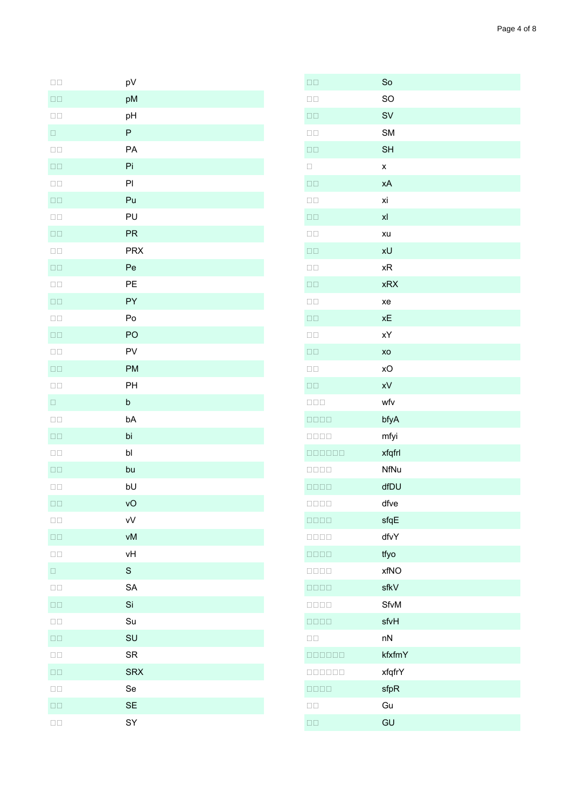| $\square$<br>$\square$ | pV         |
|------------------------|------------|
| $\square$ $\square$    | pM         |
| $\square$<br>$\square$ | pH         |
| $\Box$                 | ${\sf P}$  |
| $\square$<br>$\square$ | PA         |
| $\square$<br>$\square$ | Pi         |
| $\square$<br>$\square$ | PI         |
| $\square$<br>$\square$ | Pu         |
| $\square$<br>$\square$ | PU         |
| $\square$<br>$\square$ | PR         |
| $\square$<br>$\square$ | <b>PRX</b> |
| $\square$<br>$\square$ | Pe         |
| $\square$<br>$\square$ | PE         |
| $\square$<br>$\square$ | PY         |
| $\square$<br>$\square$ | Po         |
| $\square$ $\square$    | PO         |
| $\square$<br>$\square$ | PV         |
| $\square$<br>$\square$ | <b>PM</b>  |
| $\square$<br>$\square$ | PH         |
| $\Box$                 | $\sf b$    |
| $\square$<br>$\square$ | bA         |
| $\square$<br>$\square$ | bi         |
| $\square$<br>$\square$ | b          |
| $\square$<br>$\square$ | bu         |
| $\square$<br>$\square$ | bU         |
| $\square\,\square$     | vO         |
| $\square$<br>$\square$ | vV         |
| $\square$<br>$\square$ | vM         |
| $\square$<br>$\square$ | vH         |
| $\Box$                 | S          |
| $\square$<br>$\square$ | SA         |
| $\square$ $\square$    | Si         |
| $\square$<br>$\square$ | Su         |
| $\square$<br>$\square$ | SU         |
| $\square$<br>$\square$ | <b>SR</b>  |
| $\square$<br>$\square$ | <b>SRX</b> |
| $\square$<br>$\square$ | Se         |
| $\square$<br>$\square$ | <b>SE</b>  |
| $\square$<br>$\square$ | SY         |

| $\square$<br>$\square$                                                  | So             |
|-------------------------------------------------------------------------|----------------|
| $\square$<br>$\square$                                                  | SO             |
| $\square$                                                               | <b>SV</b>      |
| $\square$<br>$\square$                                                  | <b>SM</b>      |
| $\square$<br>$\square$                                                  | <b>SH</b>      |
| $\Box$                                                                  | X              |
| $\square$<br>$\square$                                                  | хA             |
| $\square$<br>$\square$                                                  | χi             |
| $\square$<br>$\square$                                                  | x <sub>l</sub> |
| $\square$<br>$\square$                                                  | xu             |
| $\square$<br>$\square$                                                  | xU             |
| $\square$<br>$\square$                                                  | xR             |
| $\square$<br>$\square$                                                  | <b>xRX</b>     |
| $\square$<br>$\square$                                                  | xe             |
| $\square$<br>$\square$                                                  | xE             |
| $\square$<br>$\square$                                                  | χY             |
| $\square$<br>$\square$                                                  | XO             |
| $\square$<br>$\square$                                                  | хO             |
| $\square$ $\square$                                                     | xV             |
| $\square \, \square \, \square$                                         | wfv            |
| $\Box\,\Box\,\Box\,\Box$                                                | bfyA           |
| $\begin{array}{c} \square \, \square \, \square \, \square \end{array}$ | mfyi           |
| 000000                                                                  | xfqfrl         |
| $\Box\Box\Box\Box$                                                      | NfNu           |
| $\Box\,\Box\,\Box\,\Box$                                                | dfDU           |
| $\Box\,\Box\,\Box\,\Box$                                                | dfve           |
|                                                                         | sfqE           |
| $\Box\,\Box\,\Box\,\Box$                                                | dfvY           |
| $\Box\,\Box\,\Box\,\Box$                                                | tfyo           |
| $\begin{array}{c} \square \, \square \, \square \, \square \end{array}$ | xfNO           |
| $\Box\,\Box\,\Box\,\Box$                                                | sfkV           |
| 0000                                                                    | SfvM           |
| $\Box\,\Box\,\Box\,\Box$                                                | sfvH           |
| $\square$<br>$\square$                                                  | nN             |
| 000000                                                                  | kfxfmY         |
| 000000                                                                  | xfqfrY         |
| $\begin{array}{c} \square \, \square \, \square \, \square \end{array}$ | sfpR           |
| $\square$<br>$\square$                                                  | Gu             |
| $\square$<br>$\square$                                                  | GU             |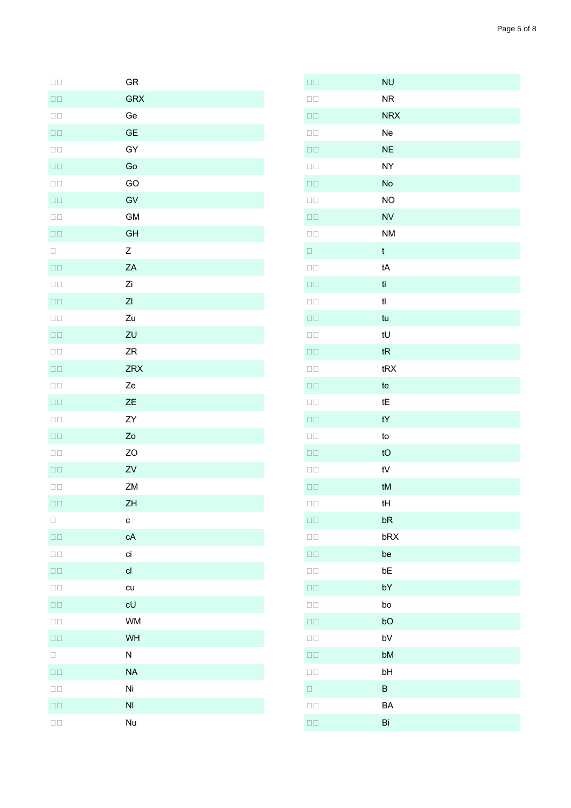| GR             |
|----------------|
| <b>GRX</b>     |
| Ge             |
| <b>GE</b>      |
| GY             |
| Go             |
| GO             |
| GV             |
| <b>GM</b>      |
| GH             |
| Z              |
| ZA             |
| Zi             |
| Z <sub>l</sub> |
| Zu             |
| ZU             |
| ZR             |
| <b>ZRX</b>     |
| Ze             |
| ZΕ             |
| ZY             |
| Zo             |
| ZO             |
| ${\sf ZV}$     |
| ZM             |
| ZH             |
| $\mathbf c$    |
| cA             |
| ci             |
| cl             |
| cu             |
| cU             |
| <b>WM</b>      |
| WH             |
| N              |

 $\square\,\square$  $\square$  $\square$  $\square$  $\square$ <br> $\square$  $\square$  $\square$ <br> $\square$  $\square$  $\square$ <br> $\square$  $\square$  $\Box$  $\square$  $\square$ <br> $\square$  $\square$  $\square$  $\square$  $\square$  $\square$ <br/> $\square$  $\square\square$  $\Box$ Box  $\square\square$  $\square$ <br> $\square$  $\square$  $\square$  $\square$  $\square\,\square$  $\square\square$  $\Box$  $\square\square$  $\square$ <br> $\square$  $\square\square$  $\square$  $\square\square$  $\square$  $\square$  $\Box$ 

 $\Box$ Box

 $\square$ <br> $\square$ 

 $\square\square$ 

 $\square$ <br> $\square$ 

 $NA$ 

Ni

 $N<sub>l</sub>$ 

Nu

| $\square$<br>$\square$ | <b>NU</b>              |
|------------------------|------------------------|
| $\square$<br>$\square$ | <b>NR</b>              |
| $\square$ $\square$    | <b>NRX</b>             |
| $\square$<br>$\square$ | Ne                     |
| $\square$<br>$\square$ | <b>NE</b>              |
| $\square$<br>$\square$ | <b>NY</b>              |
| $\square$<br>$\square$ | No                     |
| $\square$<br>$\square$ | <b>NO</b>              |
| $\square$<br>$\square$ | <b>NV</b>              |
| $\square$<br>$\square$ | <b>NM</b>              |
| $\Box$                 | $\mathfrak t$          |
| $\square$<br>$\square$ | tA                     |
| $\square$<br>$\square$ | ti                     |
| $\square$<br>$\square$ | t                      |
| $\square$<br>$\square$ | tu                     |
| $\square$<br>$\square$ | tU                     |
| $\square$ $\square$    | tR                     |
| $\square$<br>$\square$ | tRX                    |
| $\square$ $\square$    | te                     |
| $\square$<br>$\square$ | tE                     |
| $\square$<br>$\square$ | $\mathsf{t}\mathsf{Y}$ |
| $\square$<br>$\square$ | to                     |
| $\square$<br>$\square$ | tO                     |
| $\square$<br>$\square$ | ${\sf t}{\sf V}$       |
| $\square$<br>$\square$ | tM                     |
| $\square$<br>$\square$ | tH                     |
| $\square$<br>$\square$ | bR                     |
| $\square$<br>$\square$ | bRX                    |
| $\square$<br>$\square$ | be                     |
| $\square$<br>$\square$ | bE                     |
| $\square$<br>$\square$ | bY                     |
| $\square$<br>$\square$ | bo                     |
| $\square$<br>$\square$ | bO                     |
| $\square$<br>$\square$ | bV                     |
| $\square$ $\square$    | bM                     |
| $\square$<br>$\square$ | bH                     |
| $\Box$                 | B                      |
| $\square$<br>$\square$ | BA                     |
| $\square$<br>$\square$ | Bi                     |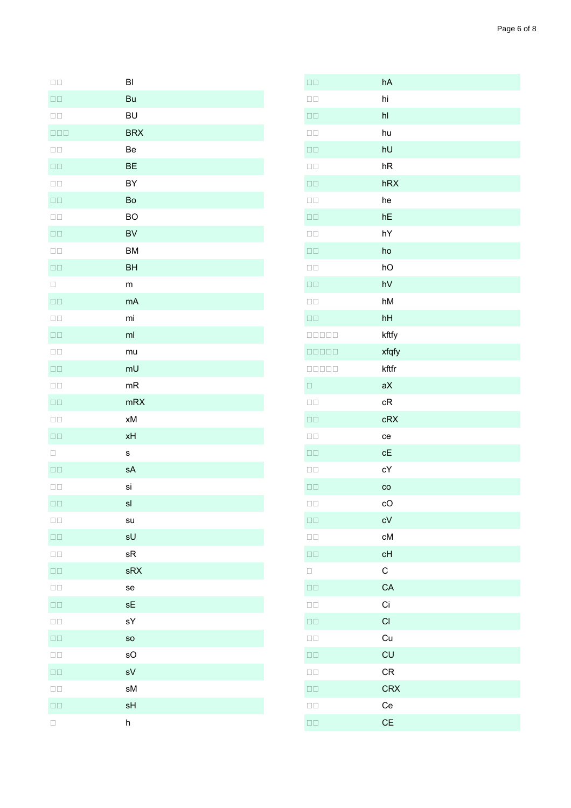| hA  |
|-----|
| hi  |
| hl  |
| hu  |
| hU  |
| hR  |
| hRX |
| he  |
| hF  |

 $\square\square$ 

 $\square$ <br> $\square$  $\square$  $\square$  $\square$ <br> $\square$ 

| $\square$<br>$\square$          | BI                        |
|---------------------------------|---------------------------|
| $\square$<br>$\square$          | Bu                        |
| $\square$<br>$\square$          | <b>BU</b>                 |
| $\square \, \square \, \square$ | <b>BRX</b>                |
| $\square$<br>$\square$          | Be                        |
| $\square$<br>$\square$          | <b>BE</b>                 |
| $\square$<br>$\square$          | BY                        |
| $\square$<br>$\square$          | Bo                        |
| $\square$<br>$\square$          | <b>BO</b>                 |
| $\square$<br>$\square$          | <b>BV</b>                 |
| $\square$<br>$\square$          | <b>BM</b>                 |
| $\square$<br>$\square$          | <b>BH</b>                 |
| $\Box$                          | ${\sf m}$                 |
| $\square$<br>$\square$          | mA                        |
| $\square$<br>$\square$          | mi                        |
| $\square$<br>$\square$          | ml                        |
| $\square$<br>$\square$          | mu                        |
| $\square$<br>$\square$          | mU                        |
| $\square$<br>$\square$          | mR                        |
| $\square$ $\square$             | mRX                       |
| $\square$<br>$\square$          | xM                        |
| $\square$<br>$\square$          | xH                        |
| $\Box$                          | $\mathbf s$               |
| $\square$<br>$\square$          | sA                        |
| $\square$<br>$\square$          | si                        |
| $\square$<br>$\square$          | sl                        |
| $\square$<br>$\square$          | su                        |
| $\square$<br>$\square$          | sU                        |
| $\square$<br>$\square$          | sR                        |
| $\square$<br>$\square$          | sRX                       |
| $\square$<br>$\square$          | se                        |
| $\square$<br>$\square$          | sE                        |
| $\square$<br>$\square$          | sY                        |
| $\square$ $\square$             | so                        |
| $\square$<br>$\square$          | sO                        |
| $\square$<br>$\square$          | sV                        |
| $\square$<br>$\square$          | sM                        |
| $\square$<br>$\square$          | sH                        |
| $\Box$                          | $\boldsymbol{\mathsf{h}}$ |

| $\square$<br>$\square$                                                                                                                                                                                                                                                                                                                                                           | hU          |
|----------------------------------------------------------------------------------------------------------------------------------------------------------------------------------------------------------------------------------------------------------------------------------------------------------------------------------------------------------------------------------|-------------|
| $\square$<br>$\square$                                                                                                                                                                                                                                                                                                                                                           | hR          |
| $\square$ $\square$                                                                                                                                                                                                                                                                                                                                                              | hRX         |
| $\square$<br>$\square$                                                                                                                                                                                                                                                                                                                                                           | he          |
| $\square$<br>$\square$                                                                                                                                                                                                                                                                                                                                                           | hE          |
| $\square$<br>$\square$                                                                                                                                                                                                                                                                                                                                                           | hY          |
| $\square$<br>$\square$                                                                                                                                                                                                                                                                                                                                                           | ho          |
| $\square$<br>$\square$                                                                                                                                                                                                                                                                                                                                                           | hO          |
| $\square$<br>$\square$                                                                                                                                                                                                                                                                                                                                                           | hV          |
| $\square$<br>$\square$                                                                                                                                                                                                                                                                                                                                                           | hM          |
| $\square$<br>$\square$                                                                                                                                                                                                                                                                                                                                                           | hH          |
| 00000                                                                                                                                                                                                                                                                                                                                                                            | kftfy       |
|                                                                                                                                                                                                                                                                                                                                                                                  | xfqfy       |
| $\begin{array}{c} \rule{0pt}{2.5mm} \rule{0pt}{2.5mm} \rule{0pt}{2.5mm} \rule{0pt}{2.5mm} \rule{0pt}{2.5mm} \rule{0pt}{2.5mm} \rule{0pt}{2.5mm} \rule{0pt}{2.5mm} \rule{0pt}{2.5mm} \rule{0pt}{2.5mm} \rule{0pt}{2.5mm} \rule{0pt}{2.5mm} \rule{0pt}{2.5mm} \rule{0pt}{2.5mm} \rule{0pt}{2.5mm} \rule{0pt}{2.5mm} \rule{0pt}{2.5mm} \rule{0pt}{2.5mm} \rule{0pt}{2.5mm} \rule{0$ | kftfr       |
| $\Box$                                                                                                                                                                                                                                                                                                                                                                           | aX          |
| $\square$<br>$\square$                                                                                                                                                                                                                                                                                                                                                           | cR          |
| $\square$                                                                                                                                                                                                                                                                                                                                                                        | cRX         |
| $\square$<br>$\square$                                                                                                                                                                                                                                                                                                                                                           | ce          |
| $\square$<br>$\square$                                                                                                                                                                                                                                                                                                                                                           | cE          |
| $\square$<br>$\square$                                                                                                                                                                                                                                                                                                                                                           | сY          |
| $\square$<br>$\square$                                                                                                                                                                                                                                                                                                                                                           | $_{\rm co}$ |
| $\square$<br>$\square$                                                                                                                                                                                                                                                                                                                                                           | cO          |
| $\square$<br>$\square$                                                                                                                                                                                                                                                                                                                                                           | cV          |
| $\square$<br>$\square$                                                                                                                                                                                                                                                                                                                                                           | cM          |
| $\square$<br>$\square$                                                                                                                                                                                                                                                                                                                                                           | cH          |
| $\Box$                                                                                                                                                                                                                                                                                                                                                                           | $\mathsf C$ |
| $\square$<br>$\square$                                                                                                                                                                                                                                                                                                                                                           | CA          |
| $\square$<br>$\square$                                                                                                                                                                                                                                                                                                                                                           | Ci          |
| $\square$<br>$\square$                                                                                                                                                                                                                                                                                                                                                           | CI          |
| $\square$<br>$\square$                                                                                                                                                                                                                                                                                                                                                           | Cu          |
| $\square$<br>$\square$                                                                                                                                                                                                                                                                                                                                                           | CU          |
| $\square$<br>$\square$                                                                                                                                                                                                                                                                                                                                                           | CR          |
| $\square$<br>$\square$                                                                                                                                                                                                                                                                                                                                                           | <b>CRX</b>  |
| $\square$<br>$\square$                                                                                                                                                                                                                                                                                                                                                           | Ce          |
| $\square$<br>$\square$                                                                                                                                                                                                                                                                                                                                                           | <b>CE</b>   |
|                                                                                                                                                                                                                                                                                                                                                                                  |             |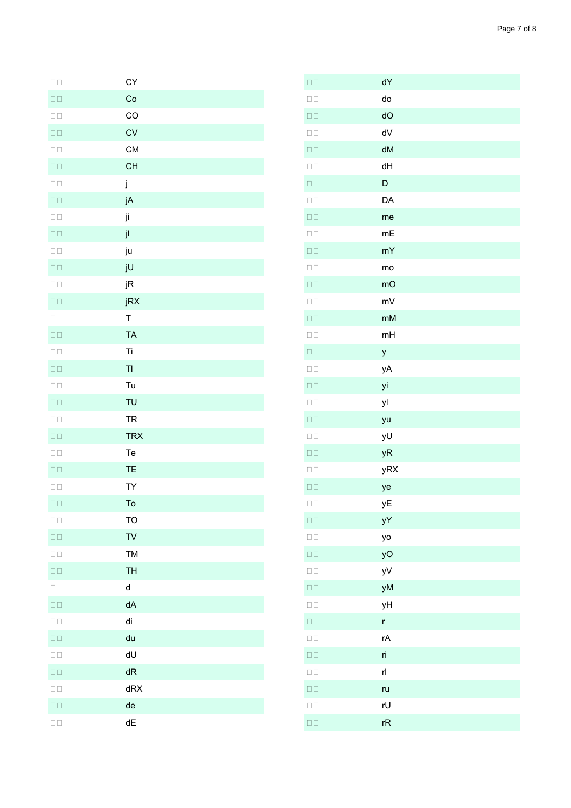| $\square$<br>$\square$ | CY          |
|------------------------|-------------|
| $\square$<br>$\square$ | Co          |
| $\square$<br>$\square$ | CO          |
| $\square$<br>$\square$ | CV          |
| $\square$<br>$\square$ | <b>CM</b>   |
| $\square$<br>$\square$ | CH          |
| $\square$<br>$\square$ | j           |
| $\square$<br>$\square$ | jA          |
| $\square$<br>$\square$ | ji          |
| $\square$<br>$\square$ | jl          |
| $\square$<br>$\square$ | ju          |
| $\square$<br>$\square$ | jU          |
| $\square$<br>$\square$ | jR          |
| $\square$<br>$\square$ | jRX         |
| $\Box$                 | $\mathsf T$ |
| $\square$<br>$\square$ | <b>TA</b>   |
| $\square$<br>$\square$ | Ti          |
| $\square$<br>$\square$ | TI          |
| $\square$<br>$\square$ | Tu          |
| $\square$<br>$\square$ | TU          |
| $\square$<br>$\square$ | <b>TR</b>   |
| $\square$<br>$\square$ | <b>TRX</b>  |
| $\square$<br>$\square$ | Te          |
| $\square$<br>$\square$ | TE          |
| $\square$<br>$\square$ | TY          |
| $\square$<br>$\square$ | To          |
| $\square$<br>$\square$ | <b>TO</b>   |
| $\square$<br>$\square$ | TV          |
| $\square$<br>$\square$ | TM          |
| $\square$              | <b>TH</b>   |
| $\Box$                 | d           |
| $\square$<br>$\square$ | dA          |
| $\square$<br>$\square$ | di          |
| $\square$<br>$\square$ | du          |
| $\square$<br>$\square$ | dU          |
| $\square$<br>$\square$ | dR          |
| $\square$<br>$\square$ | dRX         |
| $\square$<br>$\square$ | de          |
| $\square$<br>$\square$ | dE          |

| $\square$<br>$\square$ | dY           |
|------------------------|--------------|
| $\square$<br>$\square$ | do           |
| $\square$<br>$\square$ | dO           |
| $\square$<br>$\square$ | dV           |
| $\square$<br>$\square$ | dM           |
| $\square$<br>$\square$ | dH           |
| $\Box$                 | D            |
| $\square$<br>$\square$ | DA           |
| $\square$<br>$\square$ | me           |
| $\square$<br>$\square$ | mE           |
| $\square$<br>$\square$ | mY           |
| $\square$<br>$\square$ | mo           |
| $\square$<br>$\square$ | mO           |
| $\square$<br>$\square$ | mV           |
| $\square$<br>$\square$ | mM           |
| $\square$<br>$\square$ | mH           |
| $\Box$                 | y            |
| $\square$<br>$\square$ | уA           |
| $\square$<br>$\square$ | уi           |
| $\square$<br>$\square$ | yl           |
| $\square$<br>$\square$ | yu           |
| $\square$<br>$\square$ | yU           |
| $\square$<br>$\square$ | yR           |
| $\square$<br>$\square$ | yRX          |
| $\square$<br>$\square$ | ye           |
| $\square$<br>$\square$ | уE           |
| $\square$<br>$\square$ | yY           |
| $\square$<br>$\square$ | yo           |
| $\square$<br>$\square$ | yO           |
| $\square$<br>$\square$ | yV           |
| $\square$<br>$\square$ | yM           |
| $\square$<br>$\square$ | уH           |
| $\Box$                 | $\mathsf{r}$ |
| $\square$<br>$\square$ | rA           |
| $\square$<br>$\square$ | ri           |
| $\square$<br>$\square$ | rl           |
| $\square$<br>$\square$ | ru           |
| $\square$<br>$\square$ | rU           |
| $\Box$                 | rR           |